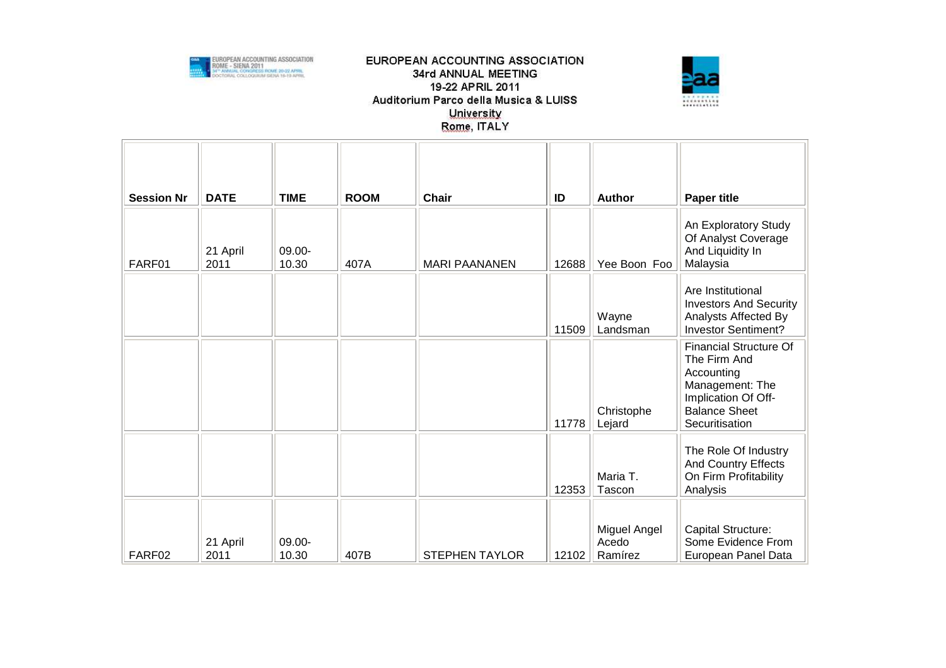



| <b>Session Nr</b> | <b>DATE</b>      | <b>TIME</b>        | <b>ROOM</b> | <b>Chair</b>          | ID    | Author                           | <b>Paper title</b>                                                                                                                              |
|-------------------|------------------|--------------------|-------------|-----------------------|-------|----------------------------------|-------------------------------------------------------------------------------------------------------------------------------------------------|
| FARF01            | 21 April<br>2011 | $09.00 -$<br>10.30 | 407A        | <b>MARI PAANANEN</b>  | 12688 | Yee Boon Foo                     | An Exploratory Study<br>Of Analyst Coverage<br>And Liquidity In<br>Malaysia                                                                     |
|                   |                  |                    |             |                       | 11509 | Wayne<br>Landsman                | Are Institutional<br><b>Investors And Security</b><br>Analysts Affected By<br><b>Investor Sentiment?</b>                                        |
|                   |                  |                    |             |                       | 11778 | Christophe<br>Lejard             | <b>Financial Structure Of</b><br>The Firm And<br>Accounting<br>Management: The<br>Implication Of Off-<br><b>Balance Sheet</b><br>Securitisation |
|                   |                  |                    |             |                       | 12353 | Maria T.<br>Tascon               | The Role Of Industry<br>And Country Effects<br>On Firm Profitability<br>Analysis                                                                |
| FARF02            | 21 April<br>2011 | 09.00-<br>10.30    | 407B        | <b>STEPHEN TAYLOR</b> | 12102 | Miguel Angel<br>Acedo<br>Ramírez | Capital Structure:<br>Some Evidence From<br>European Panel Data                                                                                 |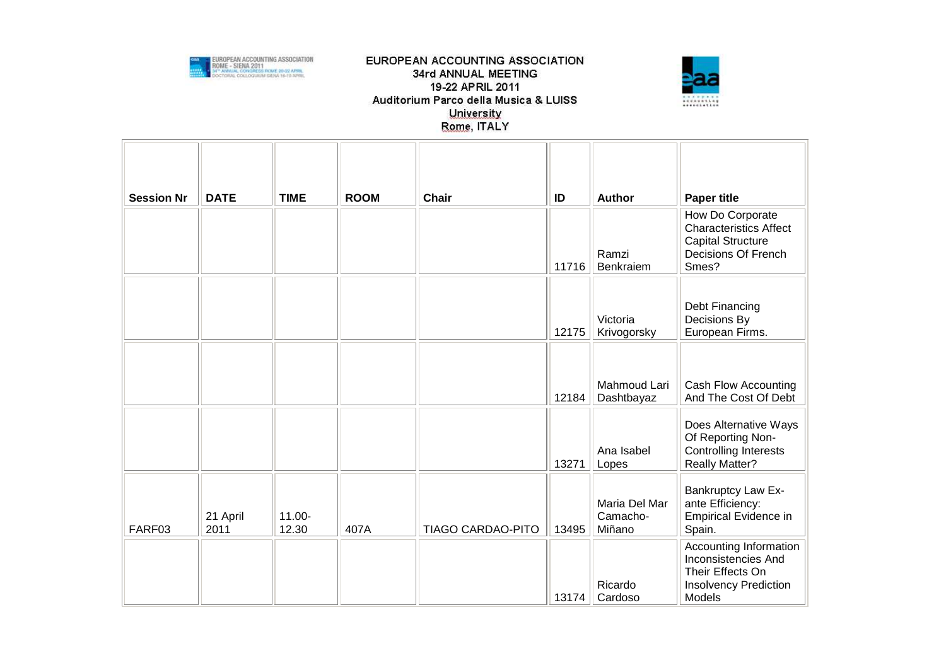



| <b>Session Nr</b> | <b>DATE</b>      | <b>TIME</b>        | <b>ROOM</b> | Chair                    | ID    | Author                              | <b>Paper title</b>                                                                                                 |
|-------------------|------------------|--------------------|-------------|--------------------------|-------|-------------------------------------|--------------------------------------------------------------------------------------------------------------------|
|                   |                  |                    |             |                          | 11716 | Ramzi<br>Benkraiem                  | How Do Corporate<br><b>Characteristics Affect</b><br><b>Capital Structure</b><br>Decisions Of French<br>Smes?      |
|                   |                  |                    |             |                          | 12175 | Victoria<br>Krivogorsky             | Debt Financing<br>Decisions By<br>European Firms.                                                                  |
|                   |                  |                    |             |                          | 12184 | Mahmoud Lari<br>Dashtbayaz          | Cash Flow Accounting<br>And The Cost Of Debt                                                                       |
|                   |                  |                    |             |                          | 13271 | Ana Isabel<br>Lopes                 | Does Alternative Ways<br>Of Reporting Non-<br><b>Controlling Interests</b><br><b>Really Matter?</b>                |
| FARF03            | 21 April<br>2011 | $11.00 -$<br>12.30 | 407A        | <b>TIAGO CARDAO-PITO</b> | 13495 | Maria Del Mar<br>Camacho-<br>Miñano | <b>Bankruptcy Law Ex-</b><br>ante Efficiency:<br><b>Empirical Evidence in</b><br>Spain.                            |
|                   |                  |                    |             |                          | 13174 | Ricardo<br>Cardoso                  | Accounting Information<br>Inconsistencies And<br>Their Effects On<br><b>Insolvency Prediction</b><br><b>Models</b> |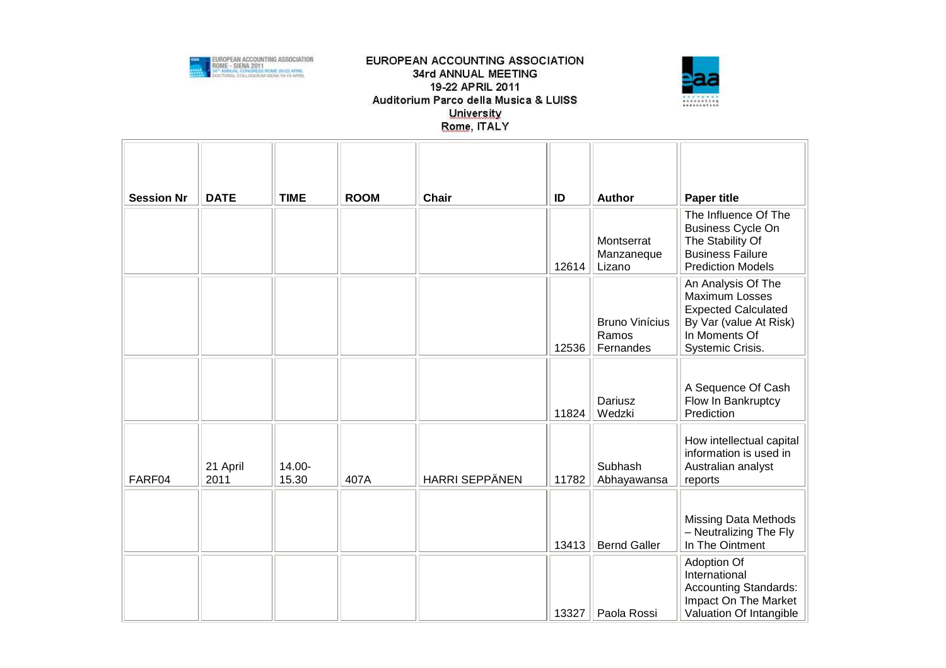



| <b>Session Nr</b> | <b>DATE</b>      | <b>TIME</b>     | <b>ROOM</b> | <b>Chair</b>          | ID    | <b>Author</b>                               | <b>Paper title</b>                                                                                                                |
|-------------------|------------------|-----------------|-------------|-----------------------|-------|---------------------------------------------|-----------------------------------------------------------------------------------------------------------------------------------|
|                   |                  |                 |             |                       | 12614 | Montserrat<br>Manzaneque<br>Lizano          | The Influence Of The<br><b>Business Cycle On</b><br>The Stability Of<br><b>Business Failure</b><br><b>Prediction Models</b>       |
|                   |                  |                 |             |                       | 12536 | <b>Bruno Vinícius</b><br>Ramos<br>Fernandes | An Analysis Of The<br>Maximum Losses<br><b>Expected Calculated</b><br>By Var (value At Risk)<br>In Moments Of<br>Systemic Crisis. |
|                   |                  |                 |             |                       | 11824 | Dariusz<br>Wedzki                           | A Sequence Of Cash<br>Flow In Bankruptcy<br>Prediction                                                                            |
| FARF04            | 21 April<br>2011 | 14.00-<br>15.30 | 407A        | <b>HARRI SEPPÄNEN</b> | 11782 | Subhash<br>Abhayawansa                      | How intellectual capital<br>information is used in<br>Australian analyst<br>reports                                               |
|                   |                  |                 |             |                       | 13413 | <b>Bernd Galler</b>                         | <b>Missing Data Methods</b><br>- Neutralizing The Fly<br>In The Ointment                                                          |
|                   |                  |                 |             |                       | 13327 | Paola Rossi                                 | Adoption Of<br>International<br>Accounting Standards:<br>Impact On The Market<br>Valuation Of Intangible                          |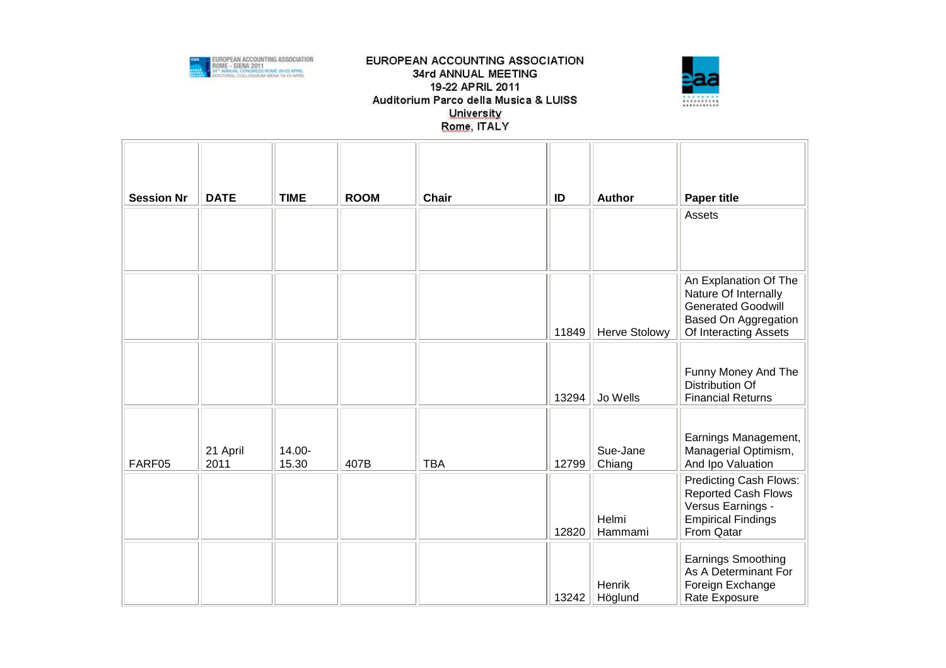



| <b>Session Nr</b> | <b>DATE</b>      | <b>TIME</b>     | <b>ROOM</b> | <b>Chair</b> | ID    | <b>Author</b>        | <b>Paper title</b>                                                                                                                 |
|-------------------|------------------|-----------------|-------------|--------------|-------|----------------------|------------------------------------------------------------------------------------------------------------------------------------|
|                   |                  |                 |             |              |       |                      | Assets                                                                                                                             |
|                   |                  |                 |             |              | 11849 | <b>Herve Stolowy</b> | An Explanation Of The<br>Nature Of Internally<br><b>Generated Goodwill</b><br><b>Based On Aggregation</b><br>Of Interacting Assets |
|                   |                  |                 |             |              | 13294 | Jo Wells             | Funny Money And The<br>Distribution Of<br><b>Financial Returns</b>                                                                 |
| FARF05            | 21 April<br>2011 | 14.00-<br>15.30 | 407B        | <b>TBA</b>   | 12799 | Sue-Jane<br>Chiang   | Earnings Management,<br>Managerial Optimism,<br>And Ipo Valuation                                                                  |
|                   |                  |                 |             |              | 12820 | Helmi<br>Hammami     | Predicting Cash Flows:<br>Reported Cash Flows<br>Versus Earnings -<br><b>Empirical Findings</b><br>From Qatar                      |
|                   |                  |                 |             |              | 13242 | Henrik<br>Höglund    | Earnings Smoothing<br>As A Determinant For<br>Foreign Exchange<br>Rate Exposure                                                    |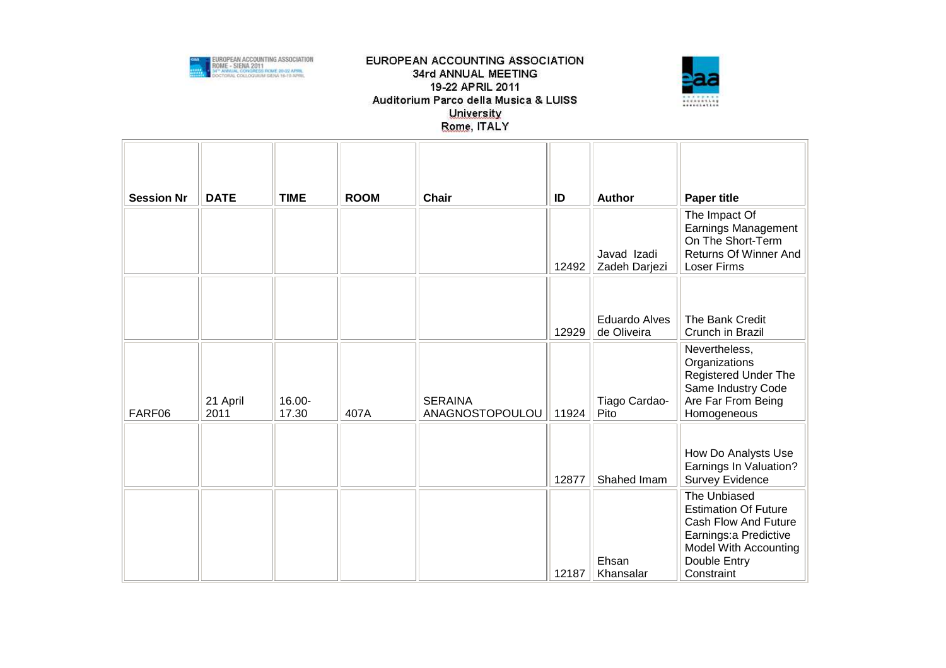



| <b>Session Nr</b> | <b>DATE</b>      | <b>TIME</b>     | <b>ROOM</b> | Chair                             | ID    | <b>Author</b>                       | <b>Paper title</b>                                                                                                                                   |
|-------------------|------------------|-----------------|-------------|-----------------------------------|-------|-------------------------------------|------------------------------------------------------------------------------------------------------------------------------------------------------|
|                   |                  |                 |             |                                   | 12492 | Javad Izadi<br>Zadeh Darjezi        | The Impact Of<br>Earnings Management<br>On The Short-Term<br>Returns Of Winner And<br><b>Loser Firms</b>                                             |
|                   |                  |                 |             |                                   | 12929 | <b>Eduardo Alves</b><br>de Oliveira | The Bank Credit<br>Crunch in Brazil                                                                                                                  |
| FARF06            | 21 April<br>2011 | 16.00-<br>17.30 | 407A        | <b>SERAINA</b><br>ANAGNOSTOPOULOU | 11924 | Tiago Cardao-<br>Pito               | Nevertheless,<br>Organizations<br><b>Registered Under The</b><br>Same Industry Code<br>Are Far From Being<br>Homogeneous                             |
|                   |                  |                 |             |                                   | 12877 | Shahed Imam                         | How Do Analysts Use<br>Earnings In Valuation?<br><b>Survey Evidence</b>                                                                              |
|                   |                  |                 |             |                                   | 12187 | Ehsan<br>Khansalar                  | The Unbiased<br><b>Estimation Of Future</b><br>Cash Flow And Future<br>Earnings: a Predictive<br>Model With Accounting<br>Double Entry<br>Constraint |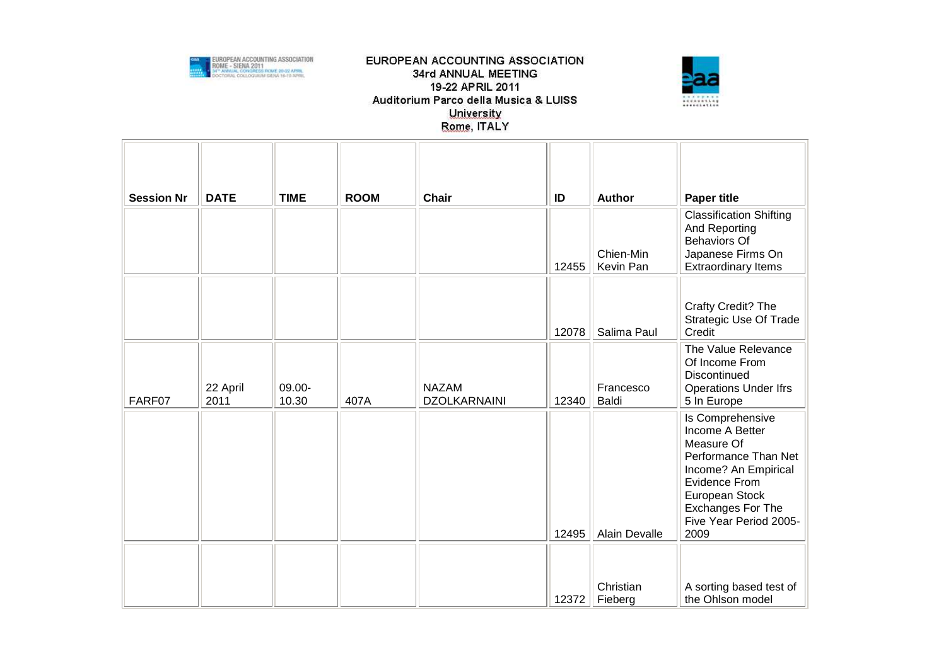



| <b>Session Nr</b> | <b>DATE</b>      | <b>TIME</b>     | <b>ROOM</b> | Chair                               | ID    | <b>Author</b>          | <b>Paper title</b>                                                                                                                                                                                 |
|-------------------|------------------|-----------------|-------------|-------------------------------------|-------|------------------------|----------------------------------------------------------------------------------------------------------------------------------------------------------------------------------------------------|
|                   |                  |                 |             |                                     | 12455 | Chien-Min<br>Kevin Pan | <b>Classification Shifting</b><br>And Reporting<br><b>Behaviors Of</b><br>Japanese Firms On<br><b>Extraordinary Items</b>                                                                          |
|                   |                  |                 |             |                                     | 12078 | Salima Paul            | Crafty Credit? The<br><b>Strategic Use Of Trade</b><br>Credit                                                                                                                                      |
| FARF07            | 22 April<br>2011 | 09.00-<br>10.30 | 407A        | <b>NAZAM</b><br><b>DZOLKARNAINI</b> | 12340 | Francesco<br>Baldi     | The Value Relevance<br>Of Income From<br>Discontinued<br><b>Operations Under Ifrs</b><br>5 In Europe                                                                                               |
|                   |                  |                 |             |                                     | 12495 | <b>Alain Devalle</b>   | Is Comprehensive<br>Income A Better<br>Measure Of<br>Performance Than Net<br>Income? An Empirical<br>Evidence From<br>European Stock<br><b>Exchanges For The</b><br>Five Year Period 2005-<br>2009 |
|                   |                  |                 |             |                                     | 12372 | Christian<br>Fieberg   | A sorting based test of<br>the Ohlson model                                                                                                                                                        |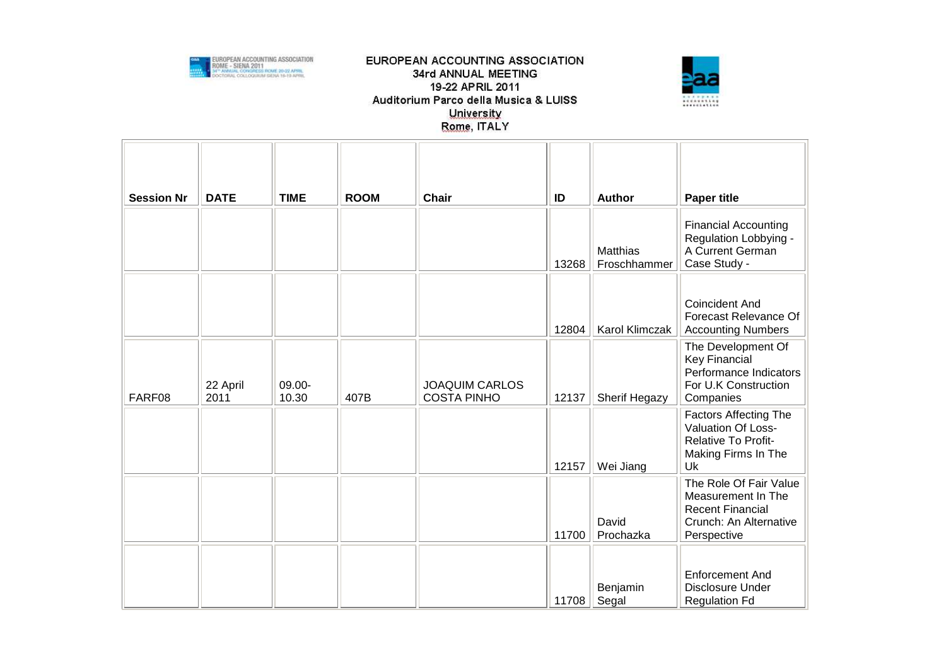



| <b>Session Nr</b> | <b>DATE</b>      | <b>TIME</b>     | <b>ROOM</b> | <b>Chair</b>                                | ID    | <b>Author</b>            | <b>Paper title</b>                                                                                               |
|-------------------|------------------|-----------------|-------------|---------------------------------------------|-------|--------------------------|------------------------------------------------------------------------------------------------------------------|
|                   |                  |                 |             |                                             | 13268 | Matthias<br>Froschhammer | <b>Financial Accounting</b><br>Regulation Lobbying -<br>A Current German<br>Case Study -                         |
|                   |                  |                 |             |                                             | 12804 | Karol Klimczak           | <b>Coincident And</b><br>Forecast Relevance Of<br><b>Accounting Numbers</b>                                      |
| FARF08            | 22 April<br>2011 | 09.00-<br>10.30 | 407B        | <b>JOAQUIM CARLOS</b><br><b>COSTA PINHO</b> | 12137 | <b>Sherif Hegazy</b>     | The Development Of<br><b>Key Financial</b><br>Performance Indicators<br>For U.K Construction<br>Companies        |
|                   |                  |                 |             |                                             | 12157 | Wei Jiang                | <b>Factors Affecting The</b><br>Valuation Of Loss-<br>Relative To Profit-<br>Making Firms In The<br>Uk           |
|                   |                  |                 |             |                                             | 11700 | David<br>Prochazka       | The Role Of Fair Value<br>Measurement In The<br><b>Recent Financial</b><br>Crunch: An Alternative<br>Perspective |
|                   |                  |                 |             |                                             | 11708 | Benjamin<br>Segal        | <b>Enforcement And</b><br>Disclosure Under<br><b>Regulation Fd</b>                                               |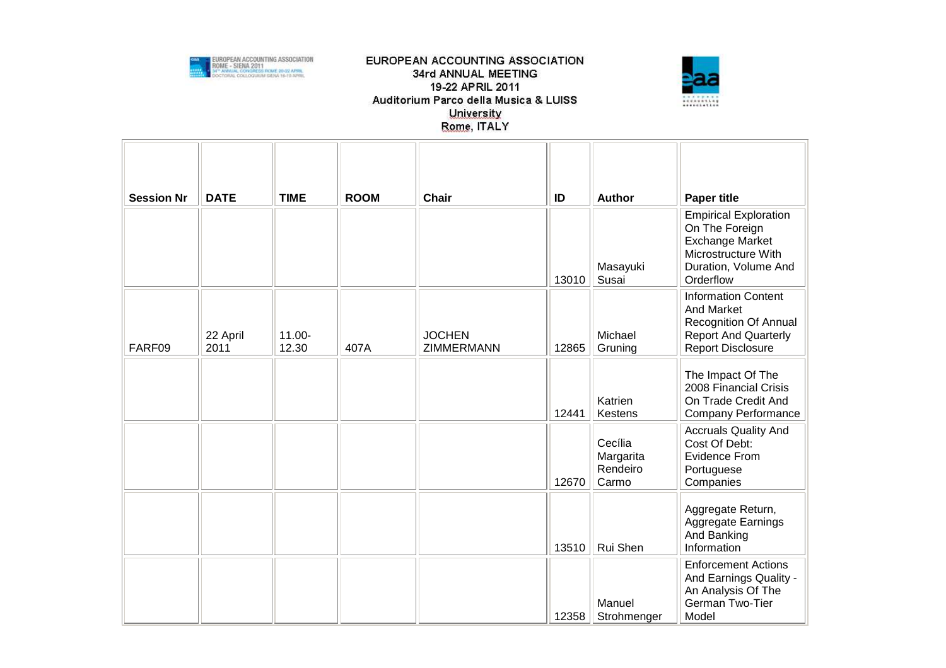



| <b>Session Nr</b> | <b>DATE</b>      | <b>TIME</b>        | <b>ROOM</b> | <b>Chair</b>                | ID    | Author                                    | <b>Paper title</b>                                                                                                                   |
|-------------------|------------------|--------------------|-------------|-----------------------------|-------|-------------------------------------------|--------------------------------------------------------------------------------------------------------------------------------------|
|                   |                  |                    |             |                             | 13010 | Masayuki<br>Susai                         | <b>Empirical Exploration</b><br>On The Foreign<br><b>Exchange Market</b><br>Microstructure With<br>Duration, Volume And<br>Orderflow |
| FARF09            | 22 April<br>2011 | $11.00 -$<br>12.30 | 407A        | <b>JOCHEN</b><br>ZIMMERMANN | 12865 | Michael<br>Gruning                        | <b>Information Content</b><br><b>And Market</b><br>Recognition Of Annual<br><b>Report And Quarterly</b><br><b>Report Disclosure</b>  |
|                   |                  |                    |             |                             | 12441 | Katrien<br>Kestens                        | The Impact Of The<br>2008 Financial Crisis<br>On Trade Credit And<br>Company Performance                                             |
|                   |                  |                    |             |                             | 12670 | Cecília<br>Margarita<br>Rendeiro<br>Carmo | <b>Accruals Quality And</b><br>Cost Of Debt:<br><b>Evidence From</b><br>Portuguese<br>Companies                                      |
|                   |                  |                    |             |                             | 13510 | Rui Shen                                  | Aggregate Return,<br>Aggregate Earnings<br>And Banking<br>Information                                                                |
|                   |                  |                    |             |                             | 12358 | Manuel<br>Strohmenger                     | <b>Enforcement Actions</b><br>And Earnings Quality -<br>An Analysis Of The<br>German Two-Tier<br>Model                               |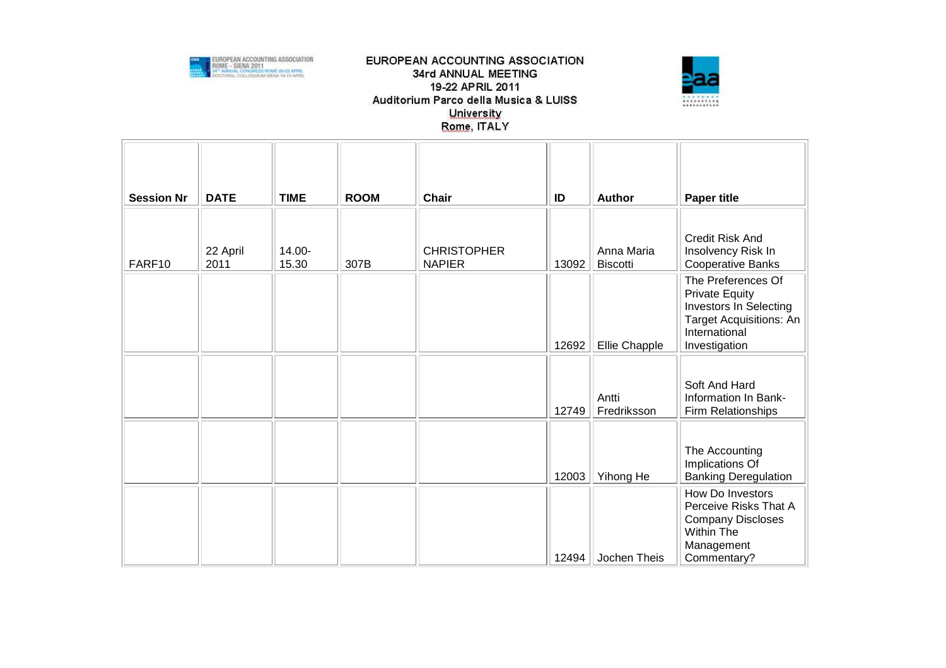



| <b>Session Nr</b> | <b>DATE</b>      | <b>TIME</b>     | <b>ROOM</b> | <b>Chair</b>                        | ID    | <b>Author</b>                 | <b>Paper title</b>                                                                                                                 |
|-------------------|------------------|-----------------|-------------|-------------------------------------|-------|-------------------------------|------------------------------------------------------------------------------------------------------------------------------------|
| FARF10            | 22 April<br>2011 | 14.00-<br>15.30 | 307B        | <b>CHRISTOPHER</b><br><b>NAPIER</b> | 13092 | Anna Maria<br><b>Biscotti</b> | <b>Credit Risk And</b><br>Insolvency Risk In<br><b>Cooperative Banks</b>                                                           |
|                   |                  |                 |             |                                     | 12692 | Ellie Chapple                 | The Preferences Of<br><b>Private Equity</b><br>Investors In Selecting<br>Target Acquisitions: An<br>International<br>Investigation |
|                   |                  |                 |             |                                     | 12749 | Antti<br>Fredriksson          | Soft And Hard<br>Information In Bank-<br>Firm Relationships                                                                        |
|                   |                  |                 |             |                                     | 12003 | Yihong He                     | The Accounting<br>Implications Of<br><b>Banking Deregulation</b>                                                                   |
|                   |                  |                 |             |                                     | 12494 | Jochen Theis                  | How Do Investors<br>Perceive Risks That A<br><b>Company Discloses</b><br>Within The<br>Management<br>Commentary?                   |